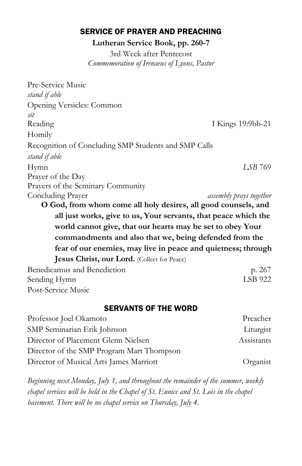## SERVICE OF PRAYER AND PREACHING

**Lutheran Service Book, pp. 260-7**

3rd Week after Pentecost *Commemoration of Irenaeus of Lyons, Pastor*

| Pre-Service Music                                               |                                |  |
|-----------------------------------------------------------------|--------------------------------|--|
| stand if able                                                   |                                |  |
| Opening Versicles: Common                                       |                                |  |
| sit                                                             |                                |  |
| Reading                                                         | I Kings 19:9bb-21              |  |
| Homily                                                          |                                |  |
| Recognition of Concluding SMP Students and SMP Calls            |                                |  |
| stand if able                                                   |                                |  |
| Hymn                                                            | LSB 769                        |  |
| Prayer of the Day                                               |                                |  |
| Prayers of the Seminary Community                               |                                |  |
| Concluding Prayer                                               | <i>assembly prays together</i> |  |
| O God, from whom come all holy desires, all good counsels, and  |                                |  |
| all just works, give to us, Your servants, that peace which the |                                |  |
| world cannot give, that our hearts may be set to obey Your      |                                |  |
| commandments and also that we, being defended from the          |                                |  |
| fear of our enemies, may live in peace and quietness; through   |                                |  |
| Jesus Christ, our Lord. (Collect for Peace)                     |                                |  |
| Benedicamus and Benediction                                     | p. 267                         |  |
| Sending Hymn                                                    | <b>LSB 922</b>                 |  |
| Post-Service Music                                              |                                |  |

## SERVANTS OF THE WORD

| Professor Joel Okamoto                    | Preacher   |
|-------------------------------------------|------------|
| SMP Seminarian Erik Johnson               | Liturgist  |
| Director of Placement Glenn Nielsen       | Assistants |
| Director of the SMP Program Mart Thompson |            |
| Director of Musical Arts James Marriott   | Organist   |

*Beginning next Monday, July 1, and throughout the remainder of the summer, weekly chapel services will be held in the Chapel of St. Eunice and St. Lois in the chapel basement. There will be no chapel service on Thursday, July 4.*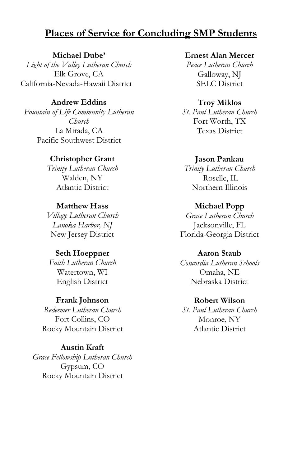# **Places of Service for Concluding SMP Students**

**Michael Dube'** *Light of the Valley Lutheran Church* Elk Grove, CA California-Nevada-Hawaii District

## **Andrew Eddins**

*Fountain of Life Community Lutheran Church* La Mirada, CA Pacific Southwest District

### **Christopher Grant**

*Trinity Lutheran Church* Walden, NY Atlantic District

### **Matthew Hass**

*Village Lutheran Church Lanoka Harbor, NJ* New Jersey District

### **Seth Hoeppner**

*Faith Lutheran Church* Watertown, WI English District

### **Frank Johnson**

*Redeemer Lutheran Church* Fort Collins, CO Rocky Mountain District

## **Austin Kraft**

*Grace Fellowship Lutheran Church* Gypsum, CO Rocky Mountain District

**Ernest Alan Mercer** *Peace Lutheran Church* Galloway, NJ

SELC District

### **Troy Miklos**

*St. Paul Lutheran Church* Fort Worth, TX Texas District

#### **Jason Pankau**

*Trinity Lutheran Church* Roselle, IL Northern Illinois

#### **Michael Popp**

*Grace Lutheran Church* Jacksonville, FL Florida-Georgia District

### **Aaron Staub**

*Concordia Lutheran Schools* Omaha, NE Nebraska District

### **Robert Wilson**

*St. Paul Lutheran Church* Monroe, NY Atlantic District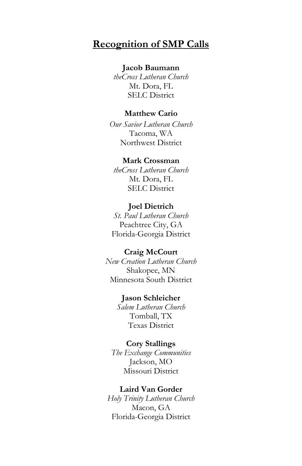# **Recognition of SMP Calls**

### **Jacob Baumann**

*theCross Lutheran Church* Mt. Dora, FL SELC District

### **Matthew Cario**

*Our Savior Lutheran Church* Tacoma, WA Northwest District

### **Mark Crossman**

*theCross Lutheran Church* Mt. Dora, FL SELC District

### **Joel Dietrich**

*St. Paul Lutheran Church* Peachtree City, GA Florida-Georgia District

#### **Craig McCourt**

*New Creation Lutheran Church* Shakopee, MN Minnesota South District

### **Jason Schleicher**

*Salem Lutheran Church* Tomball, TX Texas District

### **Cory Stallings**

*The Exchange Communities* Jackson, MO Missouri District

### **Laird Van Gorder**

*Holy Trinity Lutheran Church* Macon, GA Florida-Georgia District